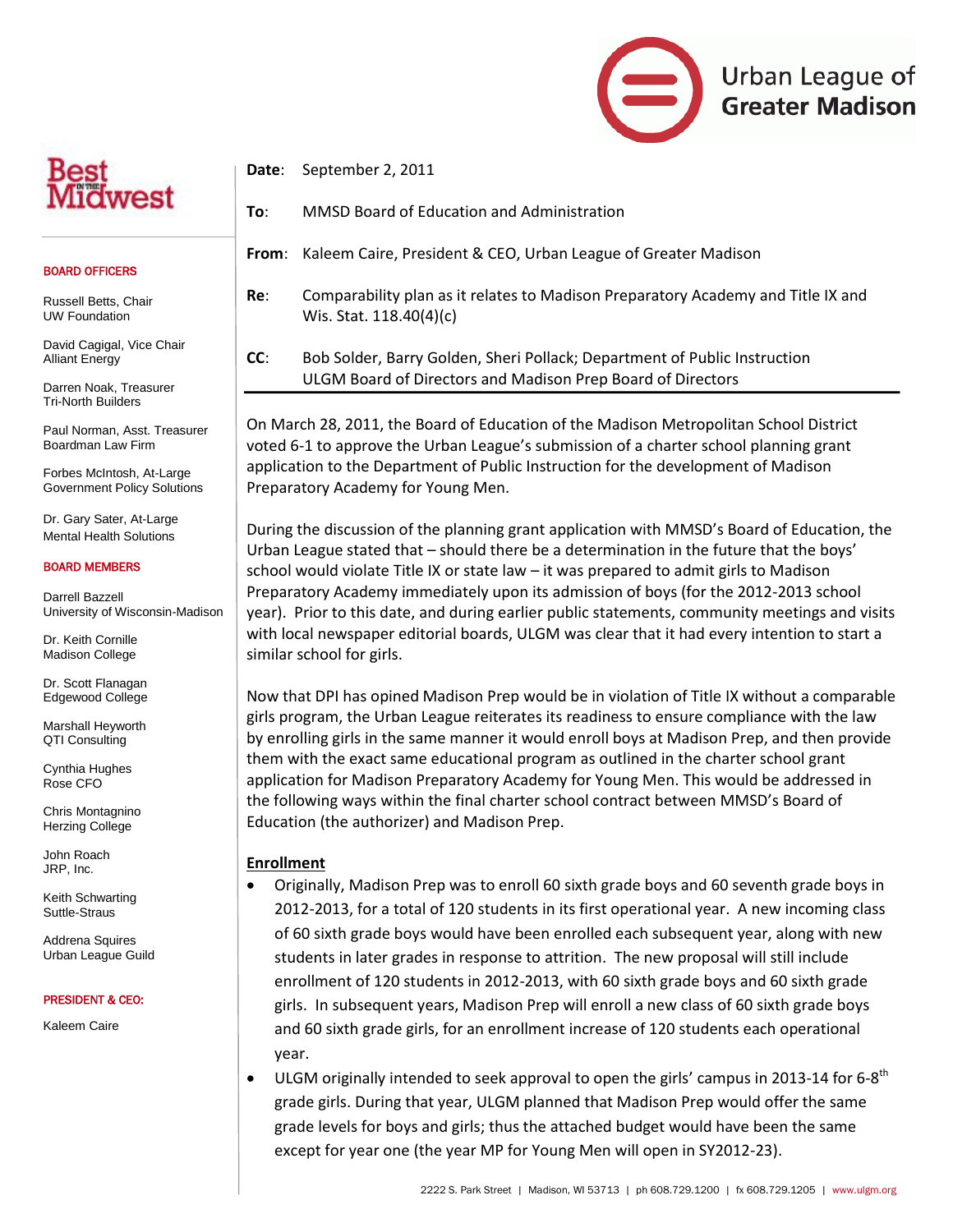

#### BOARD OFFICERS

Russell Betts, Chair UW Foundation

David Cagigal, Vice Chair Alliant Energy

Darren Noak, Treasurer Tri-North Builders

Paul Norman, Asst. Treasurer Boardman Law Firm

Forbes McIntosh, At-Large Government Policy Solutions

Dr. Gary Sater, At-Large Mental Health Solutions

#### BOARD MEMBERS

Darrell Bazzell University of Wisconsin-Madison

Dr. Keith Cornille Madison College

Dr. Scott Flanagan Edgewood College

Marshall Heyworth QTI Consulting

Cynthia Hughes Rose CFO

Chris Montagnino Herzing College

John Roach JRP, Inc.

Keith Schwarting Suttle-Straus

Addrena Squires Urban League Guild

#### PRESIDENT & CEO:

Kaleem Caire

**Date**: September 2, 2011

**To**: MMSD Board of Education and Administration

**From**: Kaleem Caire, President & CEO, Urban League of Greater Madison

**To**: MMSD Board of Education and Administration **Re**: Comparability plan as it relates to Madison Preparatory Academy and Title IX and Wis. Stat. 118.40(4)(c)

> **CC**: Bob Solder, Barry Golden, Sheri Pollack; Department of Public Instruction ULGM Board of Directors and Madison Prep Board of Directors

On March 28, 2011, the Board of Education of the Madison Metropolitan School District voted 6-1 to approve the Urban League's submission of a charter school planning grant application to the Department of Public Instruction for the development of Madison Preparatory Academy for Young Men.

During the discussion of the planning grant application with MMSD's Board of Education, the Urban League stated that – should there be a determination in the future that the boys' school would violate Title IX or state law – it was prepared to admit girls to Madison Preparatory Academy immediately upon its admission of boys (for the 2012-2013 school year). Prior to this date, and during earlier public statements, community meetings and visits with local newspaper editorial boards, ULGM was clear that it had every intention to start a similar school for girls.

Now that DPI has opined Madison Prep would be in violation of Title IX without a comparable girls program, the Urban League reiterates its readiness to ensure compliance with the law by enrolling girls in the same manner it would enroll boys at Madison Prep, and then provide them with the exact same educational program as outlined in the charter school grant application for Madison Preparatory Academy for Young Men. This would be addressed in the following ways within the final charter school contract between MMSD's Board of Education (the authorizer) and Madison Prep.

### **Enrollment**

- Originally, Madison Prep was to enroll 60 sixth grade boys and 60 seventh grade boys in 2012-2013, for a total of 120 students in its first operational year. A new incoming class of 60 sixth grade boys would have been enrolled each subsequent year, along with new students in later grades in response to attrition. The new proposal will still include enrollment of 120 students in 2012-2013, with 60 sixth grade boys and 60 sixth grade girls. In subsequent years, Madison Prep will enroll a new class of 60 sixth grade boys and 60 sixth grade girls, for an enrollment increase of 120 students each operational year.
- ULGM originally intended to seek approval to open the girls' campus in 2013-14 for 6-8<sup>th</sup> grade girls. During that year, ULGM planned that Madison Prep would offer the same grade levels for boys and girls; thus the attached budget would have been the same except for year one (the year MP for Young Men will open in SY2012-23).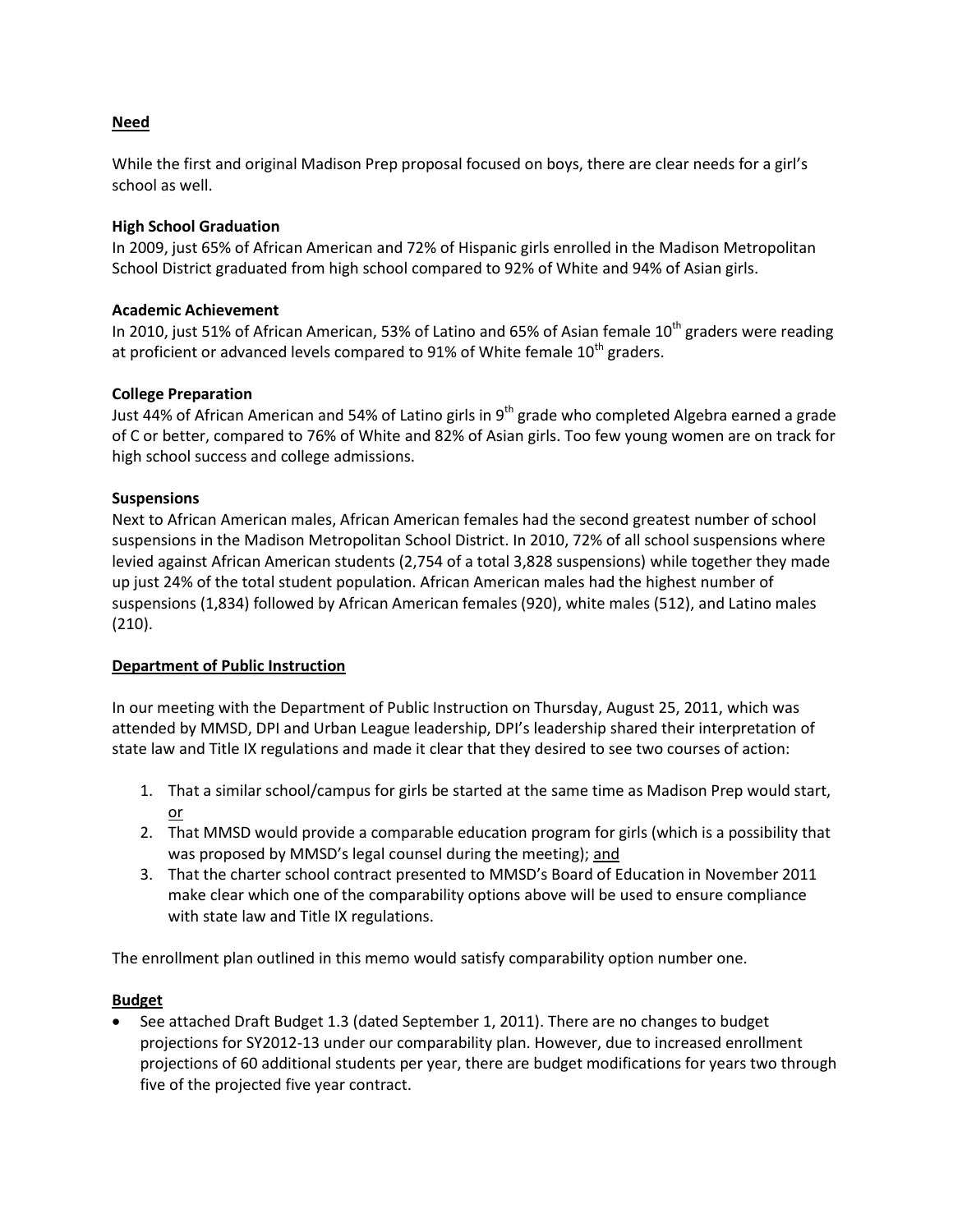## **Need**

While the first and original Madison Prep proposal focused on boys, there are clear needs for a girl's school as well.

## **High School Graduation**

In 2009, just 65% of African American and 72% of Hispanic girls enrolled in the Madison Metropolitan School District graduated from high school compared to 92% of White and 94% of Asian girls.

### **Academic Achievement**

In 2010, just 51% of African American, 53% of Latino and 65% of Asian female  $10^{th}$  graders were reading at proficient or advanced levels compared to 91% of White female  $10^{th}$  graders.

## **College Preparation**

Just 44% of African American and 54% of Latino girls in 9<sup>th</sup> grade who completed Algebra earned a grade of C or better, compared to 76% of White and 82% of Asian girls. Too few young women are on track for high school success and college admissions.

## **Suspensions**

Next to African American males, African American females had the second greatest number of school suspensions in the Madison Metropolitan School District. In 2010, 72% of all school suspensions where levied against African American students (2,754 of a total 3,828 suspensions) while together they made up just 24% of the total student population. African American males had the highest number of suspensions (1,834) followed by African American females (920), white males (512), and Latino males (210).

### **Department of Public Instruction**

In our meeting with the Department of Public Instruction on Thursday, August 25, 2011, which was attended by MMSD, DPI and Urban League leadership, DPI's leadership shared their interpretation of state law and Title IX regulations and made it clear that they desired to see two courses of action:

- 1. That a similar school/campus for girls be started at the same time as Madison Prep would start, or
- 2. That MMSD would provide a comparable education program for girls (which is a possibility that was proposed by MMSD's legal counsel during the meeting); and
- 3. That the charter school contract presented to MMSD's Board of Education in November 2011 make clear which one of the comparability options above will be used to ensure compliance with state law and Title IX regulations.

The enrollment plan outlined in this memo would satisfy comparability option number one.

# **Budget**

• See attached Draft Budget 1.3 (dated September 1, 2011). There are no changes to budget projections for SY2012-13 under our comparability plan. However, due to increased enrollment projections of 60 additional students per year, there are budget modifications for years two through five of the projected five year contract.